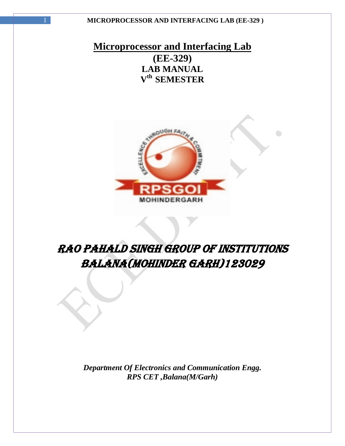# **Microprocessor and Interfacing Lab (EE-329) LAB MANUAL V th SEMESTER**



# RAO PAHALD SINGH GROUP OF INSTITUTIONS BALANA(MOHINDER GARH)123029

*Department Of Electronics and Communication Engg. RPS CET ,Balana(M/Garh)*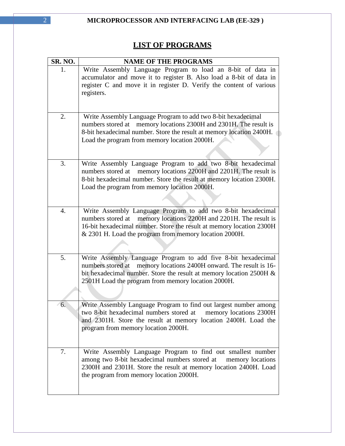# **LIST OF PROGRAMS**

| SR. NO. | <b>NAME OF THE PROGRAMS</b>                                                                                                                                                                                                                                            |
|---------|------------------------------------------------------------------------------------------------------------------------------------------------------------------------------------------------------------------------------------------------------------------------|
| 1.      | Write Assembly Language Program to load an 8-bit of data in<br>accumulator and move it to register B. Also load a 8-bit of data in                                                                                                                                     |
|         | register C and move it in register D. Verify the content of various<br>registers.                                                                                                                                                                                      |
| 2.      | Write Assembly Language Program to add two 8-bit hexadecimal<br>memory locations 2300H and 2301H. The result is<br>numbers stored at<br>8-bit hexadecimal number. Store the result at memory location 2400H.<br>Load the program from memory location 2000H.           |
| 3.      | Write Assembly Language Program to add two 8-bit hexadecimal<br>numbers stored at memory locations 2200H and 2201H. The result is<br>8-bit hexadecimal number. Store the result at memory location 2300H.<br>Load the program from memory location 2000H.              |
| 4.      | Write Assembly Language Program to add two 8-bit hexadecimal<br>memory locations 2200H and 2201H. The result is<br>numbers stored at<br>16-bit hexadecimal number. Store the result at memory location 2300H<br>& 2301 H. Load the program from memory location 2000H. |
| 5.      | Write Assembly Language Program to add five 8-bit hexadecimal<br>memory locations 2400H onward. The result is 16-<br>numbers stored at<br>bit hexadecimal number. Store the result at memory location 2500H &<br>2501H Load the program from memory location 2000H.    |
| 6.      | Write Assembly Language Program to find out largest number among<br>two 8-bit hexadecimal numbers stored at<br>memory locations 2300H<br>and 2301H. Store the result at memory location 2400H. Load the<br>program from memory location 2000H.                         |
| 7.      | Write Assembly Language Program to find out smallest number<br>among two 8-bit hexadecimal numbers stored at<br>memory locations<br>2300H and 2301H. Store the result at memory location 2400H. Load<br>the program from memory location 2000H.                        |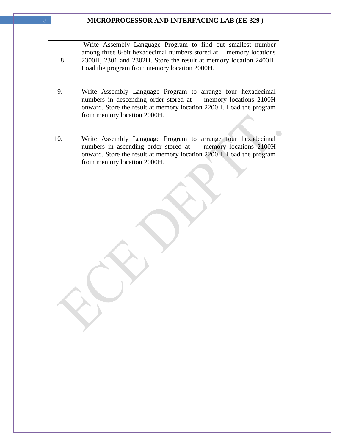| 8.  | Write Assembly Language Program to find out smallest number<br>among three 8-bit hexadecimal numbers stored at memory locations<br>2300H, 2301 and 2302H. Store the result at memory location 2400H.<br>Load the program from memory location 2000H. |
|-----|------------------------------------------------------------------------------------------------------------------------------------------------------------------------------------------------------------------------------------------------------|
| 9.  | Write Assembly Language Program to arrange four hexadecimal<br>numbers in descending order stored at memory locations 2100H<br>onward. Store the result at memory location 2200H. Load the program<br>from memory location 2000H.                    |
| 10. | Write Assembly Language Program to arrange four hexadecimal<br>numbers in ascending order stored at memory locations 2100H<br>onward. Store the result at memory location 2200H. Load the program<br>from memory location 2000H.                     |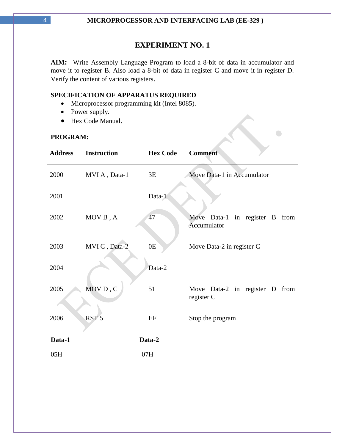**AIM:** Write Assembly Language Program to load a 8-bit of data in accumulator and move it to register B. Also load a 8-bit of data in register C and move it in register D. Verify the content of various registers.

 $\overline{\phantom{0}}$ 

 $\bigcirc$ 

### **SPECIFICATION OF APPARATUS REQUIRED**

- Microprocessor programming kit (Intel 8085).
- Power supply.
- Hex Code Manual.

### **PROGRAM:**

| <b>Address</b> | <b>Instruction</b> | <b>Hex Code</b> | <b>Comment</b>                                |
|----------------|--------------------|-----------------|-----------------------------------------------|
| 2000           | MVI A, Data-1      | 3E              | Move Data-1 in Accumulator                    |
| 2001           |                    | Data-1          |                                               |
| 2002           | MOV B, A           | 47              | Move Data-1 in register B from<br>Accumulator |
| 2003           | MVIC, Data-2       | 0E              | Move Data-2 in register C                     |
| 2004           |                    | Data-2          |                                               |
| 2005           | MOVD, C            | 51              | Move Data-2 in register D from<br>register C  |
| 2006           | RST <sub>5</sub>   | EF              | Stop the program                              |
| Data-1         |                    | Data-2          |                                               |
| 05H            |                    | 07H             |                                               |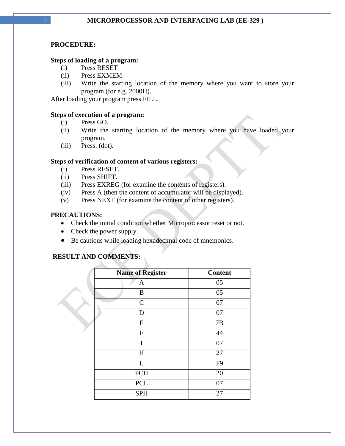#### **PROCEDURE:**

#### **Steps of loading of a program:**

- (i) Press RESET
- (ii) Press EXMEM
- (iii) Write the starting location of the memory where you want to store your program (for e.g. 2000H).

After loading your program press FILL.

#### **Steps of execution of a program:**

- (i) Press GO.
- (ii) Write the starting location of the memory where you have loaded your program.
- (iii) Press. (dot).

#### **Steps of verification of content of various registers:**

- (i) Press RESET.
- (ii) Press SHIFT.
- (iii) Press EXREG (for examine the contents of registers).
- (iv) Press A (then the content of accumulator will be displayed).
- (v) Press NEXT (for examine the content of other registers).

#### **PRECAUTIONS:**

- Check the initial condition whether Microprocessor reset or not.
- Check the power supply.
- Be cautious while loading hexadecimal code of mnemonics.

#### **RESULT AND COMMENTS:**

| <b>Name of Register</b> | <b>Content</b> |
|-------------------------|----------------|
| $\mathbf{A}$            | 05             |
| B                       | 05             |
| $\mathcal{C}$           | 07             |
| D                       | 07             |
| ${\bf E}$               | 7B             |
| ${\bf F}$               | 44             |
| I                       | 07             |
| H                       | 27             |
| L                       | F <sub>9</sub> |
| <b>PCH</b>              | 20             |
| <b>PCL</b>              | 07             |
| <b>SPH</b>              | 27             |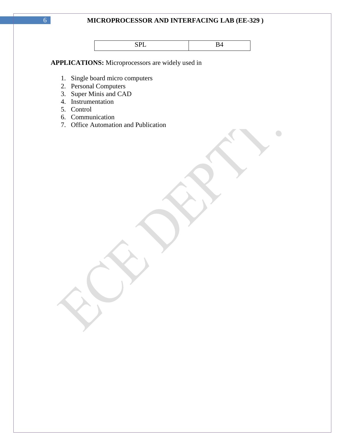$\bigodot$ 

**APPLICATIONS:** Microprocessors are widely used in

- 1. Single board micro computers
- 2. Personal Computers
- 3. Super Minis and CAD
- 4. Instrumentation
- 5. Control
- 6. Communication
- 7. Office Automation and Publication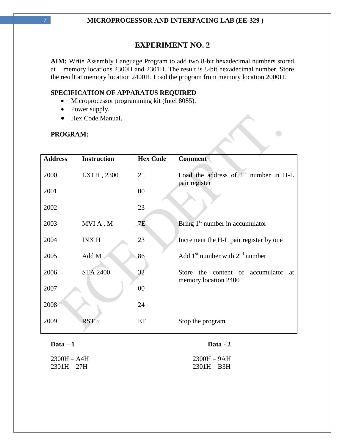**AIM:** Write Assembly Language Program to add two 8-bit hexadecimal numbers stored at memory locations 2300H and 2301H. The result is 8-bit hexadecimal number. Store the result at memory location 2400H. Load the program from memory location 2000H.

 $\bigodot$ 

e S

#### **SPECIFICATION OF APPARATUS REQUIRED**

- Microprocessor programming kit (Intel 8085).
- Power supply.
- Hex Code Manual.

#### **PROGRAM:**

| <b>Address</b> | <b>Instruction</b> | <b>Hex Code</b> | <b>Comment</b>                          |
|----------------|--------------------|-----------------|-----------------------------------------|
| 2000           | LXI H, 2300        | 21              | Load the address of $1st$ number in H-L |
| 2001           |                    | $00\,$          | pair register                           |
| 2002           |                    | 23              |                                         |
| 2003           | MVIA, M            | 7E              | Bring $1st$ number in accumulator       |
| 2004           | <b>INX H</b>       | 23              | Increment the H-L pair register by one  |
| 2005           | Add M              | 86              | Add $1st$ number with $2nd$ number      |
| 2006           | <b>STA 2400</b>    | 32              | Store the content of accumulator<br>at  |
| 2007           |                    | $00\,$          | memory location 2400                    |
| 2008           |                    | 24              |                                         |
| 2009           | RST <sub>5</sub>   | EF              | Stop the program                        |
| $Data - 1$     |                    |                 | Data - 2                                |
| $2300H - A4H$  |                    |                 | $2300H - 9AH$                           |

2301H – 27H 2301H – B3H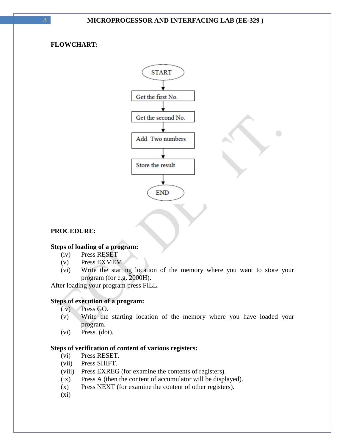### **FLOWCHART:**



#### **PROCEDURE:**

#### **Steps of loading of a program:**

- (iv) Press RESET
- (v) Press EXMEM
- (vi) Write the starting location of the memory where you want to store your program (for e.g. 2000H).

After loading your program press FILL.

#### **Steps of execution of a program:**

- (iv) Press GO.
- (v) Write the starting location of the memory where you have loaded your program.
- (vi) Press. (dot).

#### **Steps of verification of content of various registers:**

- (vi) Press RESET.
- (vii) Press SHIFT.
- (viii) Press EXREG (for examine the contents of registers).
- (ix) Press A (then the content of accumulator will be displayed).
- (x) Press NEXT (for examine the content of other registers).
- $(xi)$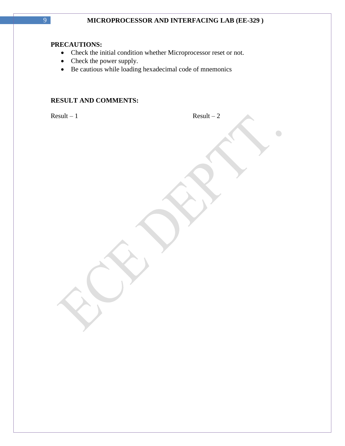#### **PRECAUTIONS:**

- Check the initial condition whether Microprocessor reset or not.
- Check the power supply.
- Be cautious while loading hexadecimal code of mnemonics

### **RESULT AND COMMENTS:**

| $Result - 1$<br>$Result - 2$ |  |
|------------------------------|--|
|                              |  |
|                              |  |
|                              |  |
|                              |  |
|                              |  |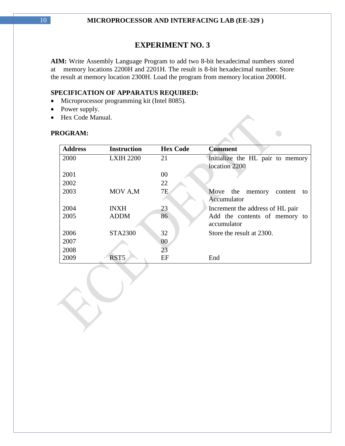**AIM:** Write Assembly Language Program to add two 8-bit hexadecimal numbers stored at memory locations 2200H and 2201H. The result is 8-bit hexadecimal number. Store the result at memory location 2300H. Load the program from memory location 2000H.

### **SPECIFICATION OF APPARATUS REQUIRED:**

- Microprocessor programming kit (Intel 8085).
- Power supply.
- Hex Code Manual.

#### **PROGRAM:**

| <b>Address</b> | <b>Instruction</b> | <b>Hex Code</b> | <b>Comment</b>                         |
|----------------|--------------------|-----------------|----------------------------------------|
| 2000           | <b>LXIH 2200</b>   | 21              | Initialize the HL pair to memory       |
|                |                    |                 | location 2200                          |
| 2001           |                    | 00              |                                        |
| 2002           |                    | 22              |                                        |
| 2003           | MOV A,M            | 7E              | Move<br>the<br>memory<br>content<br>to |
|                |                    |                 | Accumulator                            |
| 2004           | <b>INXH</b>        | 23              | Increment the address of HL pair       |
| 2005           | <b>ADDM</b>        | 86              | Add the contents of memory to          |
|                |                    |                 | accumulator                            |
| 2006           | <b>STA2300</b>     | 32              | Store the result at 2300.              |
| 2007           |                    | 00              |                                        |
| 2008           |                    | 23              |                                        |
| 2009           | RST <sub>5</sub>   | EF              | End                                    |

 $\bigcirc$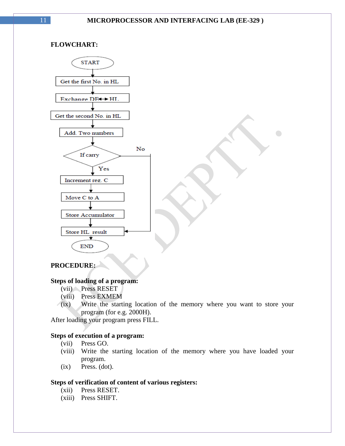$\bigodot$ 

#### **FLOWCHART:**



### **PROCEDURE:**

#### **Steps of loading of a program:**

- (vii) Press RESET
- (viii) Press EXMEM
- (ix) Write the starting location of the memory where you want to store your program (for e.g. 2000H).

After loading your program press FILL.

#### **Steps of execution of a program:**

- (vii) Press GO.
- (viii) Write the starting location of the memory where you have loaded your program.
- $(ix)$  Press.  $(dot)$ .

#### **Steps of verification of content of various registers:**

- (xii) Press RESET.
- (xiii) Press SHIFT.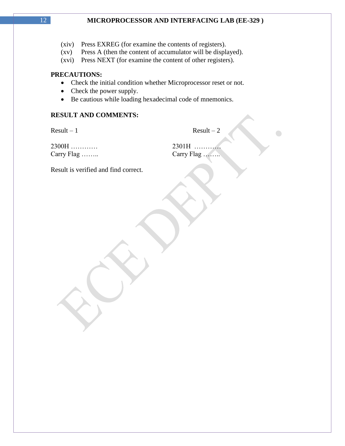- (xiv) Press EXREG (for examine the contents of registers).
- (xv) Press A (then the content of accumulator will be displayed).
- (xvi) Press NEXT (for examine the content of other registers).

#### **PRECAUTIONS:**

- Check the initial condition whether Microprocessor reset or not.
- Check the power supply.
- Be cautious while loading hexadecimal code of mnemonics.

#### **RESULT AND COMMENTS:**

 $Result - 1$  Result – 2

 $\bigodot$ 

| 2300H      |
|------------|
| Carry Flag |

2300H ………… 2301H ………… Carry Flag ……..

Result is verified and find correct.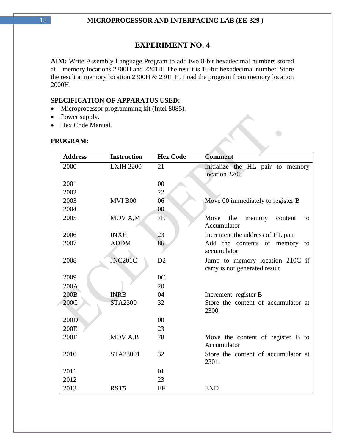**AIM:** Write Assembly Language Program to add two 8-bit hexadecimal numbers stored at memory locations 2200H and 2201H. The result is 16-bit hexadecimal number. Store the result at memory location 2300H & 2301 H. Load the program from memory location 2000H.

 $\bigodot$ 

### **SPECIFICATION OF APPARATUS USED:**

- Microprocessor programming kit (Intel 8085).
- Power supply.
- Hex Code Manual.

| <b>Address</b> | <b>Instruction</b> | <b>Hex Code</b> | <b>Comment</b>                                                   |
|----------------|--------------------|-----------------|------------------------------------------------------------------|
| 2000           | <b>LXIH 2200</b>   | 21              | Initialize the HL pair to memory<br>location 2200                |
| 2001           |                    | $00\,$          |                                                                  |
| 2002           |                    | 22              |                                                                  |
| 2003           | MVI B00            | 06              | Move 00 immediately to register B                                |
| 2004           |                    | 00              |                                                                  |
| 2005           | MOV A,M            | 7E              | Move<br>the<br>memory<br>content<br>to<br>Accumulator            |
| 2006           | <b>INXH</b>        | 23              | Increment the address of HL pair                                 |
| 2007           | <b>ADDM</b>        | 86              | Add the contents of memory to<br>accumulator                     |
| 2008           | <b>JNC201C</b>     | D2              | Jump to memory location 210C if<br>carry is not generated result |
| 2009           |                    | 0 <sup>C</sup>  |                                                                  |
| 200A           |                    | 20              |                                                                  |
| 200B           | <b>INRB</b>        | 04              | Increment register B                                             |
| 200C           | <b>STA2300</b>     | 32              | Store the content of accumulator at<br>2300.                     |
| 200D           |                    | 00              |                                                                  |
| 200E           |                    | 23              |                                                                  |
| 200F           | MOV A,B            | 78              | Move the content of register B to<br>Accumulator                 |
| 2010           | STA23001           | 32              | Store the content of accumulator at<br>2301.                     |
| 2011           |                    | 01              |                                                                  |
| 2012           |                    | 23              |                                                                  |
| 2013           | RST <sub>5</sub>   | EF              | <b>END</b>                                                       |

### **PROGRAM:**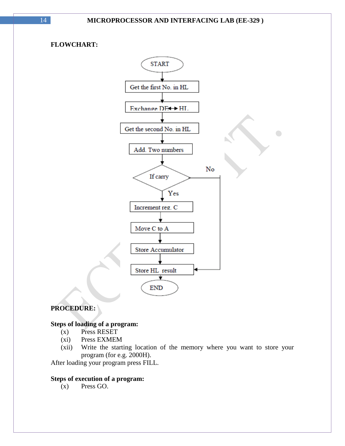### **FLOWCHART:**



### **PROCEDURE:**

### **Steps of loading of a program:**

- (x) Press RESET
- (xi) Press EXMEM
- (xii) Write the starting location of the memory where you want to store your program (for e.g. 2000H).

After loading your program press FILL.

### **Steps of execution of a program:**

(x) Press GO.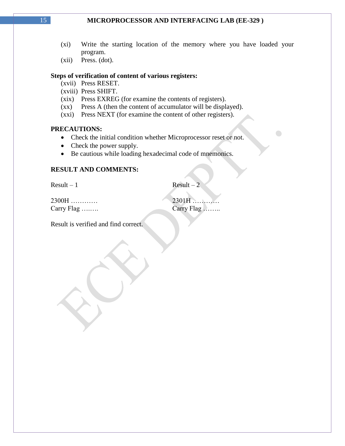- (xi) Write the starting location of the memory where you have loaded your program.
- (xii) Press. (dot).

#### **Steps of verification of content of various registers:**

- (xvii) Press RESET.
- (xviii) Press SHIFT.
- (xix) Press EXREG (for examine the contents of registers).
- (xx) Press A (then the content of accumulator will be displayed).
- (xxi) Press NEXT (for examine the content of other registers).

#### **PRECAUTIONS:**

- Check the initial condition whether Microprocessor reset or not.
- Check the power supply.
- Be cautious while loading hexadecimal code of mnemonics.

#### **RESULT AND COMMENTS:**

 $Result - 1$  Result – 2

2300H ………… 2301H ………… Carry Flag ….…. Carry Flag ……..

 $\bigodot$ 

Result is verified and find correct.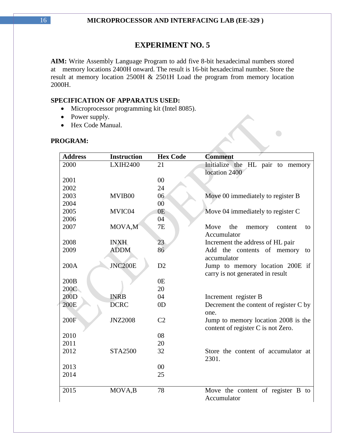**AIM:** Write Assembly Language Program to add five 8-bit hexadecimal numbers stored at memory locations 2400H onward. The result is 16-bit hexadecimal number. Store the result at memory location 2500H & 2501H Load the program from memory location 2000H.

 $\bigodot$ 

#### **SPECIFICATION OF APPARATUS USED:**

- Microprocessor programming kit (Intel 8085).
- Power supply.
- Hex Code Manual.

#### **PROGRAM:**

| <b>Address</b> | <b>Instruction</b> | <b>Hex Code</b> | <b>Comment</b>                                                            |
|----------------|--------------------|-----------------|---------------------------------------------------------------------------|
| 2000           | <b>LXIH2400</b>    | 21              | Initialize the HL pair to memory                                          |
|                |                    |                 | location 2400                                                             |
| 2001           |                    | $00\,$          |                                                                           |
| 2002           |                    | 24              |                                                                           |
| 2003           | MVIB00             | 06              | Move 00 immediately to register B                                         |
| 2004           |                    | 0 <sup>0</sup>  |                                                                           |
| 2005           | MVIC04             | 0E              | Move 04 immediately to register C                                         |
| 2006           |                    | 04              |                                                                           |
| 2007           | MOVA,M             | 7E              | Move<br>the<br>memory<br>content<br>to<br>Accumulator                     |
| 2008           | <b>INXH</b>        | 23              | Increment the address of HL pair                                          |
| 2009           | <b>ADDM</b>        | 86              | Add the contents of memory<br>to<br>accumulator                           |
| 200A           | <b>JNC200E</b>     | D2              | Jump to memory location 200E if<br>carry is not generated in result       |
| 200B           |                    | 0 <sub>E</sub>  |                                                                           |
| 200C           |                    | 20              |                                                                           |
| 200D           | <b>INRB</b>        | 04              | Increment register B                                                      |
| 200E           | <b>DCRC</b>        | 0 <sub>D</sub>  | Decrement the content of register C by<br>one.                            |
| 200F           | <b>JNZ2008</b>     | C <sub>2</sub>  | Jump to memory location 2008 is the<br>content of register C is not Zero. |
| 2010           |                    | 08              |                                                                           |
| 2011           |                    | 20              |                                                                           |
| 2012           | <b>STA2500</b>     | 32              | Store the content of accumulator at<br>2301.                              |
| 2013           |                    | 00              |                                                                           |
| 2014           |                    | 25              |                                                                           |
| 2015           | MOVA,B             | 78              | Move the content of register B to<br>Accumulator                          |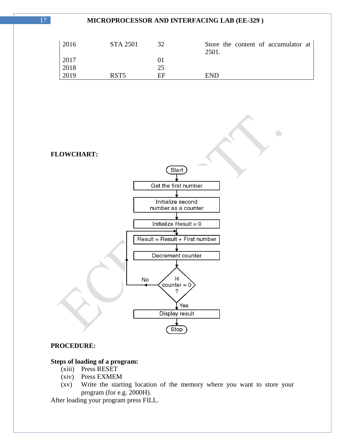| 2016 | <b>STA 2501</b> | 32 | Store the content of accumulator at<br>2501. |
|------|-----------------|----|----------------------------------------------|
| 2017 |                 |    |                                              |
| 2018 |                 | 25 |                                              |
| 2019 | RST5            | FF | <b>END</b>                                   |

 $\bigcirc$ 

**FLOWCHART:**



#### **PROCEDURE:**

### **Steps of loading of a program:**

- (xiii) Press RESET
- (xiv) Press EXMEM
- (xv) Write the starting location of the memory where you want to store your program (for e.g. 2000H).

After loading your program press FILL.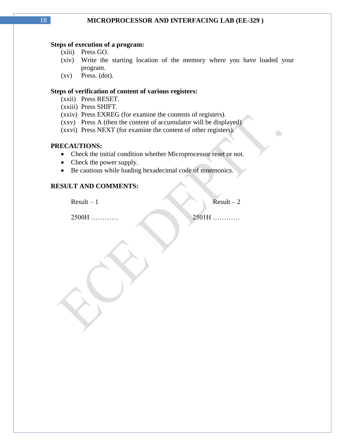#### **Steps of execution of a program:**

- (xiii) Press GO.
- (xiv) Write the starting location of the memory where you have loaded your program.
- (xv) Press. (dot).

#### **Steps of verification of content of various registers:**

- (xxii) Press RESET.
- (xxiii) Press SHIFT.
- (xxiv) Press EXREG (for examine the contents of registers).
- (xxv) Press A (then the content of accumulator will be displayed).
- (xxvi) Press NEXT (for examine the content of other registers).

#### **PRECAUTIONS:**

- Check the initial condition whether Microprocessor reset or not.
- Check the power supply.
- Be cautious while loading hexadecimal code of mnemonics.

#### **RESULT AND COMMENTS:**

 $Result - 1$  Result – 2

 $\bigodot$ 

2500H ………… 2501H …………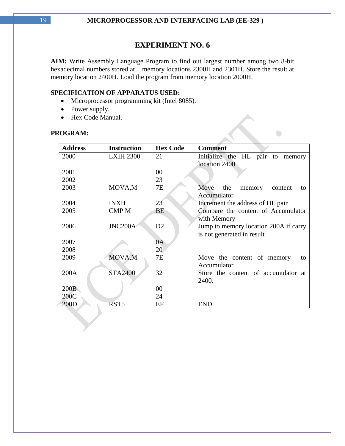**AIM:** Write Assembly Language Program to find out largest number among two 8-bit hexadecimal numbers stored at memory locations 2300H and 2301H. Store the result at memory location 2400H. Load the program from memory location 2000H.

#### **SPECIFICATION OF APPARATUS USED:**

- Microprocessor programming kit (Intel 8085).
- Power supply.
- Hex Code Manual.

#### **PROGRAM:**

| <b>Address</b> | <b>Instruction</b> | <b>Hex Code</b> | <b>Comment</b>                                        |
|----------------|--------------------|-----------------|-------------------------------------------------------|
| 2000           | <b>LXIH 2300</b>   | 21              | Initialize the HL pair to memory                      |
|                |                    |                 | location 2400                                         |
| 2001           |                    | 00              |                                                       |
| 2002           |                    | 23              |                                                       |
| 2003           | MOVA,M             | 7E              | Move<br>the<br>memory<br>content<br>to<br>Accumulator |
| 2004           | <b>INXH</b>        | 23              | Increment the address of HL pair                      |
| 2005           | <b>CMPM</b>        | BE              | Compare the content of Accumulator                    |
|                |                    |                 | with Memory                                           |
| 2006           | JNC200A            | D2              | Jump to memory location 200A if carry                 |
|                |                    |                 | is not generated in result                            |
| 2007           |                    | 0A              |                                                       |
| 2008           |                    | 20              |                                                       |
| 2009           | MOVA,M             | <b>7E</b>       | Move the content of memory<br>to                      |
|                |                    |                 | Accumulator                                           |
| 200A           | <b>STA2400</b>     | 32              | Store the content of accumulator at                   |
|                |                    |                 | 2400.                                                 |
| 200B           |                    | 00              |                                                       |
| 200C           |                    | 24              |                                                       |
| 200D           | RST <sub>5</sub>   | EF              | <b>END</b>                                            |

 $\bigcap$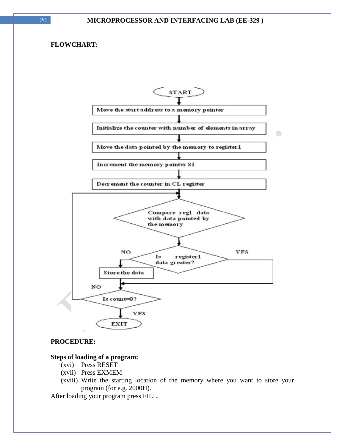#### **FLOWCHART:**



#### **PROCEDURE:**

#### **Steps of loading of a program:**

- (xvi) Press RESET
- (xvii) Press EXMEM
- (xviii) Write the starting location of the memory where you want to store your program (for e.g. 2000H).

After loading your program press FILL.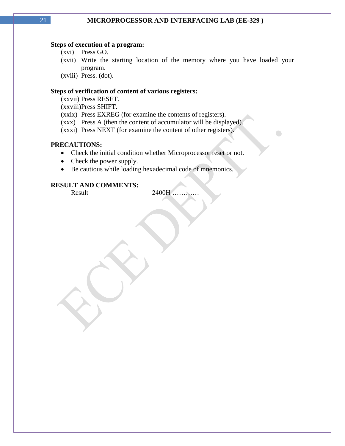#### **Steps of execution of a program:**

- (xvi) Press GO.
- (xvii) Write the starting location of the memory where you have loaded your program.

 $\bigodot$ 

(xviii) Press. (dot).

#### **Steps of verification of content of various registers:**

(xxvii) Press RESET.

(xxviii)Press SHIFT.

- (xxix) Press EXREG (for examine the contents of registers).
- (xxx) Press A (then the content of accumulator will be displayed).
- (xxxi) Press NEXT (for examine the content of other registers).

### **PRECAUTIONS:**

- Check the initial condition whether Microprocessor reset or not.
- Check the power supply.
- Be cautious while loading hexadecimal code of mnemonics.

#### **RESULT AND COMMENTS:**

Result 2400H ……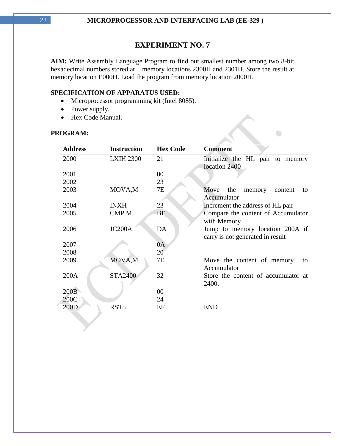**AIM:** Write Assembly Language Program to find out smallest number among two 8-bit hexadecimal numbers stored at memory locations 2300H and 2301H. Store the result at memory location E000H. Load the program from memory location 2000H.

#### **SPECIFICATION OF APPARATUS USED:**

- Microprocessor programming kit (Intel 8085).
- Power supply.
- Hex Code Manual.

### **PROGRAM:**

| <b>Address</b> | <b>Instruction</b>  | <b>Hex Code</b> | <b>Comment</b>                         |
|----------------|---------------------|-----------------|----------------------------------------|
| 2000           | <b>LXIH 2300</b>    | 21              | Initialize the HL pair to memory       |
|                |                     |                 | location 2400                          |
| 2001           |                     | 00              |                                        |
| 2002           |                     | 23              |                                        |
| 2003           | MOVA,M              | 7E              | Move<br>the<br>memory<br>content<br>to |
|                |                     |                 | Accumulator                            |
| 2004           | <b>INXH</b>         | 23              | Increment the address of HL pair       |
| 2005           | <b>CMPM</b>         | <b>BE</b>       | Compare the content of Accumulator     |
|                |                     |                 | with Memory                            |
| 2006           | JC <sub>200</sub> A | DA              | Jump to memory location 200A if        |
|                |                     |                 | carry is not generated in result       |
| 2007           |                     | 0A              |                                        |
| 2008           |                     | 20              |                                        |
| 2009           | MOVA,M              | 7E              | Move the content of memory<br>to       |
|                |                     |                 | Accumulator                            |
| 200A           | <b>STA2400</b>      | 32              | Store the content of accumulator at    |
|                |                     |                 | 2400.                                  |
| 200B           |                     | 00              |                                        |
| 200C           |                     | 24              |                                        |
| 200D           | RST <sub>5</sub>    | EF              | <b>END</b>                             |

 $\bigodot$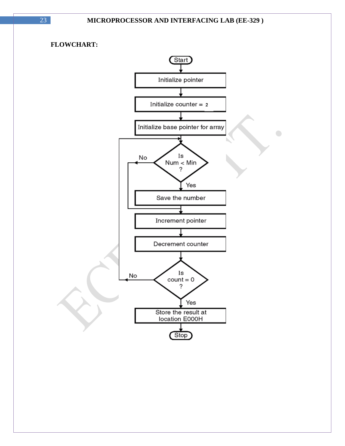$\bigodot$ 

### **FLOWCHART:**

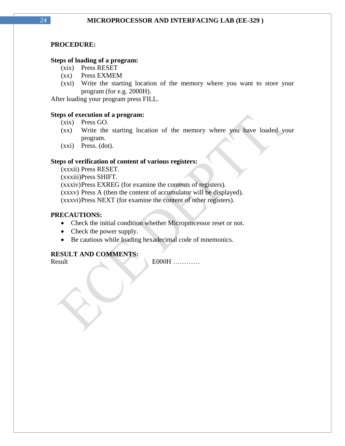#### **PROCEDURE:**

#### **Steps of loading of a program:**

- (xix) Press RESET
- (xx) Press EXMEM
- (xxi) Write the starting location of the memory where you want to store your program (for e.g. 2000H).

After loading your program press FILL.

#### **Steps of execution of a program:**

- (xix) Press GO.
- (xx) Write the starting location of the memory where you have loaded your program.
- (xxi) Press. (dot).

#### **Steps of verification of content of various registers:**

(xxxii) Press RESET. (xxxiii)Press SHIFT. (xxxiv)Press EXREG (for examine the contents of registers). (xxxv) Press A (then the content of accumulator will be displayed). (xxxvi)Press NEXT (for examine the content of other registers).

#### **PRECAUTIONS:**

- Check the initial condition whether Microprocessor reset or not.
- Check the power supply.
- Be cautious while loading hexadecimal code of mnemonics.

### **RESULT AND COMMENTS:**

Result E000H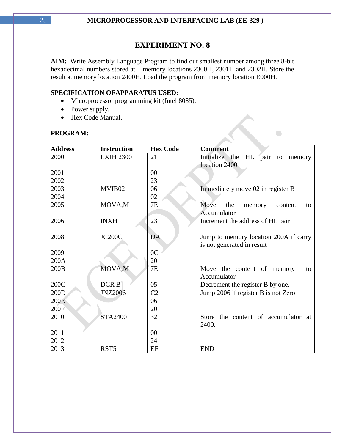**AIM:** Write Assembly Language Program to find out smallest number among three 8-bit hexadecimal numbers stored at memory locations 2300H, 2301H and 2302H. Store the result at memory location 2400H. Load the program from memory location E000H.

 $\begin{picture}(20,20) \put(0,0){\line(1,0){10}} \put(15,0){\line(1,0){10}} \put(15,0){\line(1,0){10}} \put(15,0){\line(1,0){10}} \put(15,0){\line(1,0){10}} \put(15,0){\line(1,0){10}} \put(15,0){\line(1,0){10}} \put(15,0){\line(1,0){10}} \put(15,0){\line(1,0){10}} \put(15,0){\line(1,0){10}} \put(15,0){\line(1,0){10}} \put(15,0){\line(1$ 

#### **SPECIFICATION OFAPPARATUS USED:**

- Microprocessor programming kit (Intel 8085).
- Power supply.
- Hex Code Manual.

#### **PROGRAM:**

| <b>Address</b> | <b>Instruction</b> | <b>Hex Code</b> | <b>Comment</b>                                        |
|----------------|--------------------|-----------------|-------------------------------------------------------|
| 2000           | <b>LXIH 2300</b>   | 21              | Initialize the<br>HL pair to memory                   |
|                |                    |                 | location 2400                                         |
| 2001           |                    | 00              |                                                       |
| 2002           |                    | 23              |                                                       |
| 2003           | MVIB02             | 06              | Immediately move 02 in register B                     |
| 2004           |                    | 02              |                                                       |
| 2005           | MOVA,M             | 7E              | Move<br>the<br>content<br>memory<br>to<br>Accumulator |
| 2006           | <b>INXH</b>        | 23              | Increment the address of HL pair                      |
|                |                    |                 |                                                       |
| 2008           | <b>JC200C</b>      | <b>DA</b>       | Jump to memory location 200A if carry                 |
|                |                    |                 | is not generated in result                            |
| 2009           |                    | 0 <sub>C</sub>  |                                                       |
| 200A           |                    | 20              |                                                       |
| 200B           | MOVA,M             | 7E              | Move the content of memory<br>to<br>Accumulator       |
| 200C           | DCR <sub>B</sub>   | 05              | Decrement the register B by one.                      |
| 200D           | <b>JNZ2006</b>     | C <sub>2</sub>  | Jump 2006 if register B is not Zero                   |
| 200E           |                    | 06              |                                                       |
| 200F           |                    | 20              |                                                       |
| 2010           | <b>STA2400</b>     | 32              | Store the content of accumulator at                   |
|                |                    |                 | 2400.                                                 |
| 2011           |                    | 00              |                                                       |
| 2012           |                    | 24              |                                                       |
| 2013           | RST <sub>5</sub>   | EF              | <b>END</b>                                            |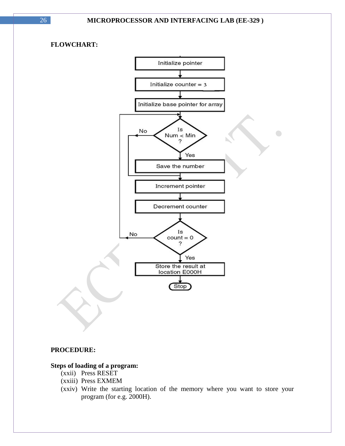$\bigodot$ 

### **FLOWCHART:**



#### **PROCEDURE:**

#### **Steps of loading of a program:**

- (xxii) Press RESET
- (xxiii) Press EXMEM
- (xxiv) Write the starting location of the memory where you want to store your program (for e.g. 2000H).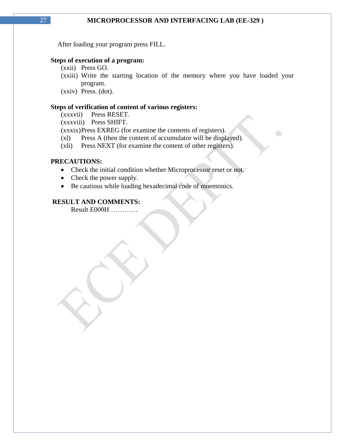After loading your program press FILL.

#### **Steps of execution of a program:**

- (xxii) Press GO.
- (xxiii) Write the starting location of the memory where you have loaded your program.

 $\bigodot$ 

(xxiv) Press. (dot).

#### **Steps of verification of content of various registers:**

(xxxvii) Press RESET.

(xxxviii) Press SHIFT.

(xxxix)Press EXREG (for examine the contents of registers).

(xl) Press A (then the content of accumulator will be displayed).

(xli) Press NEXT (for examine the content of other registers).

#### **PRECAUTIONS:**

- Check the initial condition whether Microprocessor reset or not.
- Check the power supply.
- Be cautious while loading hexadecimal code of mnemonics.

### **RESULT AND COMMENTS:**

Result E000H …………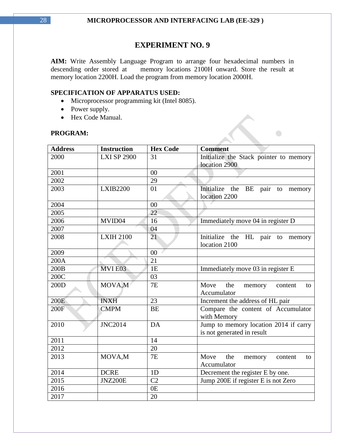AIM: Write Assembly Language Program to arrange four hexadecimal numbers in descending order stored at memory locations 2100H onward. Store the result at memory locations 2100H onward. Store the result at memory location 2200H. Load the program from memory location 2000H.

 $\begin{picture}(20,20) \put(0,0){\line(1,0){10}} \put(15,0){\line(1,0){10}} \put(15,0){\line(1,0){10}} \put(15,0){\line(1,0){10}} \put(15,0){\line(1,0){10}} \put(15,0){\line(1,0){10}} \put(15,0){\line(1,0){10}} \put(15,0){\line(1,0){10}} \put(15,0){\line(1,0){10}} \put(15,0){\line(1,0){10}} \put(15,0){\line(1,0){10}} \put(15,0){\line(1$ 

#### **SPECIFICATION OF APPARATUS USED:**

- Microprocessor programming kit (Intel 8085).
- Power supply.
- Hex Code Manual.

#### **PROGRAM:**

| <b>Address</b> | <b>Instruction</b> | <b>Hex Code</b> | <b>Comment</b>                         |
|----------------|--------------------|-----------------|----------------------------------------|
| 2000           | <b>LXI SP 2900</b> | 31              | Initialize the Stack pointer to memory |
|                |                    |                 | location 2900                          |
| 2001           |                    | 00              |                                        |
| 2002           |                    | 29              |                                        |
| 2003           | <b>LXIB2200</b>    | 01              | Initialize the BE pair to memory       |
|                |                    |                 | location 2200                          |
| 2004           |                    | $00\,$          |                                        |
| 2005           |                    | 22              |                                        |
| 2006           | MVID04             | 16              | Immediately move 04 in register D      |
| 2007           |                    | 04              |                                        |
| 2008           | <b>LXIH 2100</b>   | 21              | Initialize the HL pair to memory       |
|                |                    |                 | location 2100                          |
| 2009           |                    | 00              |                                        |
| 200A           |                    | 21              |                                        |
| 200B           | MVIE03             | 1E              | Immediately move 03 in register E      |
| 200C           |                    | 03              |                                        |
| 200D           | MOVA,M             | 7E              | Move<br>the<br>memory<br>content<br>to |
|                |                    |                 | Accumulator                            |
| 200E           | <b>INXH</b>        | 23              | Increment the address of HL pair       |
| 200F           | <b>CMPM</b>        | <b>BE</b>       | Compare the content of Accumulator     |
|                |                    |                 | with Memory                            |
| 2010           | <b>JNC2014</b>     | DA              | Jump to memory location 2014 if carry  |
|                |                    |                 | is not generated in result             |
| 2011           |                    | 14              |                                        |
| 2012           |                    | 20              |                                        |
| 2013           | MOVA,M             | 7E              | Move<br>the<br>memory<br>content<br>to |
|                |                    |                 | Accumulator                            |
| 2014           | <b>DCRE</b>        | 1D              | Decrement the register E by one.       |
| 2015           | <b>JNZ200E</b>     | C <sub>2</sub>  | Jump 200E if register E is not Zero    |
| 2016           |                    | 0 <sub>E</sub>  |                                        |
| 2017           |                    | 20              |                                        |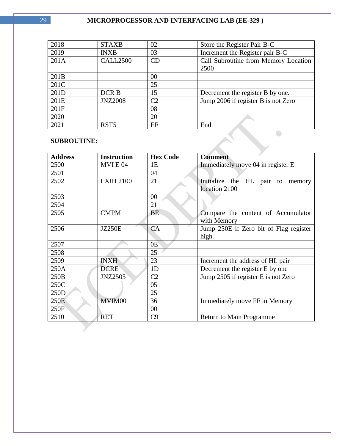| 2018 | <b>STAXB</b>     | 02 | Store the Register Pair B-C          |
|------|------------------|----|--------------------------------------|
| 2019 | <b>INXB</b>      | 03 | Increment the Register pair B-C      |
| 201A | <b>CALL2500</b>  | CD | Call Subroutine from Memory Location |
|      |                  |    | 2500                                 |
| 201B |                  | 00 |                                      |
| 201C |                  | 25 |                                      |
| 201D | DCR <sub>B</sub> | 15 | Decrement the register B by one.     |
| 201E | <b>JNZ2008</b>   | C2 | Jump 2006 if register B is not Zero  |
| 201F |                  | 08 |                                      |
| 2020 |                  | 20 |                                      |
| 2021 | RST <sub>5</sub> | EF | End                                  |
|      |                  |    |                                      |

### **SUBROUTINE:**

| <b>SUBROUTINE:</b> |                    |                 |                                                      |
|--------------------|--------------------|-----------------|------------------------------------------------------|
| <b>Address</b>     | <b>Instruction</b> | <b>Hex Code</b> | <b>Comment</b>                                       |
| 2500               | MVIE <sub>04</sub> | 1E              | Immediately move 04 in register E                    |
| 2501               |                    | 04              |                                                      |
| 2502               | <b>LXIH 2100</b>   | 21              | Initialize the HL pair to<br>memory<br>location 2100 |
| 2503               |                    | 00              |                                                      |
| 2504               |                    | 21              |                                                      |
| 2505               | <b>CMPM</b>        | <b>BE</b>       | Compare the content of Accumulator<br>with Memory    |
| 2506               | <b>JZ250E</b>      | CA              | Jump 250E if Zero bit of Flag register<br>high.      |
| 2507               |                    | 0E              |                                                      |
| 2508               |                    | 25              |                                                      |
| 2509               | <b>INXH</b>        | 23              | Increment the address of HL pair                     |
| 250A               | <b>DCRE</b>        | 1 <sub>D</sub>  | Decrement the register E by one                      |
| 250B               | <b>JNZ2505</b>     | C <sub>2</sub>  | Jump 2505 if register E is not Zero                  |
| 250C               |                    | 05              |                                                      |
| 250D               |                    | 25              |                                                      |
| 250E               | MVIM00             | 36              | Immediately move FF in Memory                        |
| 250F               |                    | 00              |                                                      |
| 2510               | <b>RET</b>         | C9              | Return to Main Programme                             |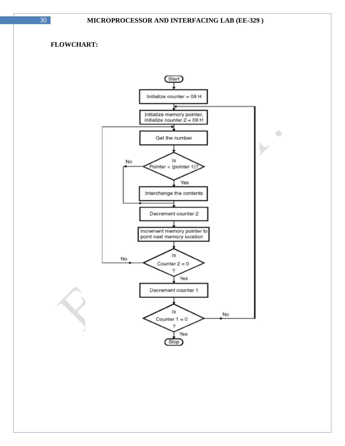### **FLOWCHART:**

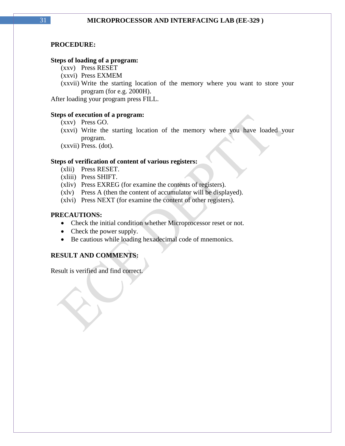#### **PROCEDURE:**

#### **Steps of loading of a program:**

- (xxv) Press RESET
- (xxvi) Press EXMEM
- (xxvii) Write the starting location of the memory where you want to store your program (for e.g. 2000H).

After loading your program press FILL.

#### **Steps of execution of a program:**

- (xxv) Press GO.
- (xxvi) Write the starting location of the memory where you have loaded your program.

(xxvii) Press. (dot).

#### **Steps of verification of content of various registers:**

- (xlii) Press RESET.
- (xliii) Press SHIFT.
- (xliv) Press EXREG (for examine the contents of registers).
- (xlv) Press A (then the content of accumulator will be displayed).
- (xlvi) Press NEXT (for examine the content of other registers).

#### **PRECAUTIONS:**

- Check the initial condition whether Microprocessor reset or not.
- Check the power supply.
- Be cautious while loading hexadecimal code of mnemonics.

### **RESULT AND COMMENTS:**

Result is verified and find correct.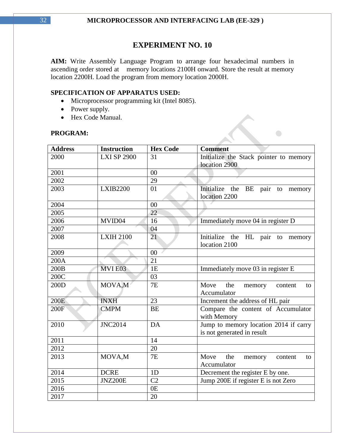**AIM:** Write Assembly Language Program to arrange four hexadecimal numbers in ascending order stored at memory locations 2100H onward. Store the result at memory location 2200H. Load the program from memory location 2000H.

 $\begin{picture}(20,20) \put(0,0){\line(1,0){10}} \put(15,0){\line(1,0){10}} \put(15,0){\line(1,0){10}} \put(15,0){\line(1,0){10}} \put(15,0){\line(1,0){10}} \put(15,0){\line(1,0){10}} \put(15,0){\line(1,0){10}} \put(15,0){\line(1,0){10}} \put(15,0){\line(1,0){10}} \put(15,0){\line(1,0){10}} \put(15,0){\line(1,0){10}} \put(15,0){\line(1$ 

#### **SPECIFICATION OF APPARATUS USED:**

- Microprocessor programming kit (Intel 8085).
- Power supply.
- Hex Code Manual.

### **PROGRAM:**

| <b>Address</b> | <b>Instruction</b> | <b>Hex Code</b> | <b>Comment</b>                                                      |
|----------------|--------------------|-----------------|---------------------------------------------------------------------|
| 2000           | <b>LXI SP 2900</b> | 31              | Initialize the Stack pointer to memory                              |
|                |                    |                 | location 2900                                                       |
| 2001           |                    | 00              |                                                                     |
| 2002           |                    | 29              |                                                                     |
| 2003           | <b>LXIB2200</b>    | 01              | Initialize the BE<br>pair to memory<br>location 2200                |
| 2004           |                    | $00\,$          |                                                                     |
| 2005           |                    | 22              |                                                                     |
| 2006           | MVID04             | 16              | Immediately move 04 in register D                                   |
| 2007           |                    | 04              |                                                                     |
| 2008           | <b>LXIH 2100</b>   | 21              | Initialize the HL pair to memory<br>location 2100                   |
| 2009           |                    | $00\,$          |                                                                     |
| 200A           |                    | 21              |                                                                     |
| 200B           | MVIE03             | 1E              | Immediately move 03 in register E                                   |
| 200C           |                    | 03              |                                                                     |
| 200D           | MOVA,M             | 7E              | Move<br>the<br>memory<br>content<br>to<br>Accumulator               |
| 200E           | <b>INXH</b>        | 23              | Increment the address of HL pair                                    |
| 200F           | <b>CMPM</b>        | <b>BE</b>       | Compare the content of Accumulator<br>with Memory                   |
| 2010           | <b>JNC2014</b>     | DA              | Jump to memory location 2014 if carry<br>is not generated in result |
| 2011           |                    | 14              |                                                                     |
| 2012           |                    | 20              |                                                                     |
| 2013           | MOVA,M             | 7E              | Move<br>the<br>memory<br>content<br>to                              |
|                |                    |                 | Accumulator                                                         |
| 2014           | <b>DCRE</b>        | 1D              | Decrement the register E by one.                                    |
| 2015           | <b>JNZ200E</b>     | C <sub>2</sub>  | Jump 200E if register E is not Zero                                 |
| 2016           |                    | 0 <sub>E</sub>  |                                                                     |
| 2017           |                    | 20              |                                                                     |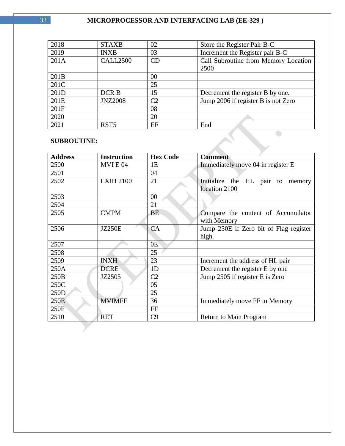| 2018 | <b>STAXB</b>     | 02             | Store the Register Pair B-C          |
|------|------------------|----------------|--------------------------------------|
| 2019 | <b>INXB</b>      | 03             | Increment the Register pair B-C      |
| 201A | <b>CALL2500</b>  | CD             | Call Subroutine from Memory Location |
|      |                  |                | 2500                                 |
| 201B |                  | 00             |                                      |
| 201C |                  | 25             |                                      |
| 201D | DCR B            | 15             | Decrement the register B by one.     |
| 201E | <b>JNZ2008</b>   | C <sub>2</sub> | Jump 2006 if register B is not Zero  |
| 201F |                  | 08             |                                      |
| 2020 |                  | 20             |                                      |
| 2021 | RST <sub>5</sub> | EF             | End                                  |
|      |                  |                |                                      |

 $\mathcal{L}$ 

### **SUBROUTINE:**

| <b>Address</b> | <b>Instruction</b> | <b>Hex Code</b> | <b>Comment</b>                         |
|----------------|--------------------|-----------------|----------------------------------------|
| 2500           | MVIE <sub>04</sub> | 1E              | Immediately move 04 in register E      |
| 2501           |                    | 04              |                                        |
| 2502           | <b>LXIH 2100</b>   | 21              | Initialize the HL pair to<br>memory    |
|                |                    |                 | location 2100                          |
| 2503           |                    | 00              |                                        |
| 2504           |                    | 21              |                                        |
| 2505           | <b>CMPM</b>        | BE.             | Compare the content of Accumulator     |
|                |                    |                 | with Memory                            |
| 2506           | <b>JZ250E</b>      | CA              | Jump 250E if Zero bit of Flag register |
|                |                    |                 | high.                                  |
| 2507           |                    | 0E              |                                        |
| 2508           |                    | 25              |                                        |
| 2509           | <b>INXH</b>        | 23              | Increment the address of HL pair       |
| 250A           | <b>DCRE</b>        | 1 <sub>D</sub>  | Decrement the register E by one        |
| 250B           | JZ2505             | C <sub>2</sub>  | Jump 2505 if register E is Zero        |
| 250C           |                    | 05              |                                        |
| 250D           |                    | 25              |                                        |
| 250E           | <b>MVIMFF</b>      | 36              | Immediately move FF in Memory          |
| 250F           |                    | FF              |                                        |
| 2510           | <b>RET</b>         | C9              | <b>Return to Main Program</b>          |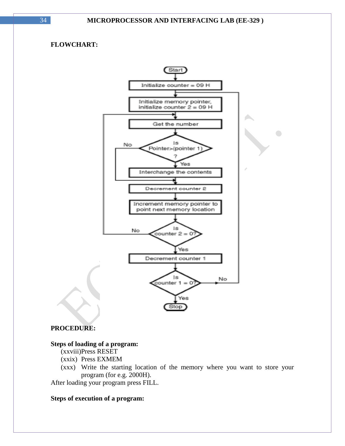### **FLOWCHART:**



 $\bigodot$ 

#### **PROCEDURE:**

#### **Steps of loading of a program:**

(xxviii)Press RESET

- (xxix) Press EXMEM
- (xxx) Write the starting location of the memory where you want to store your program (for e.g. 2000H).

After loading your program press FILL.

#### **Steps of execution of a program:**